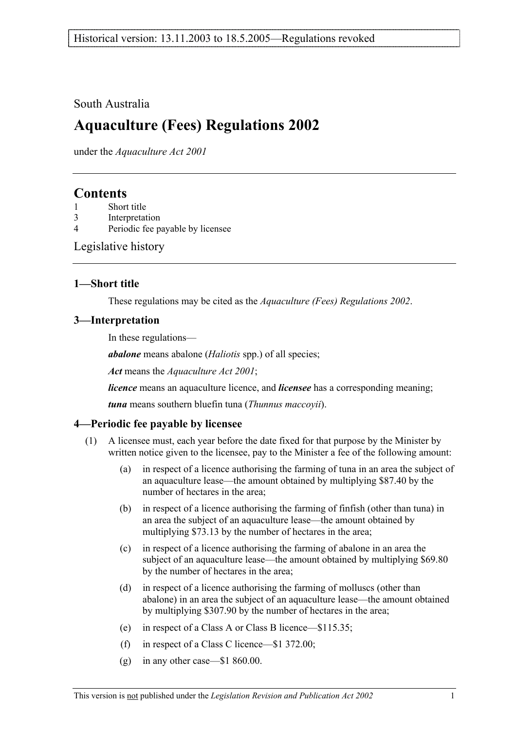### South Australia

# **Aquaculture (Fees) Regulations 2002**

under the *Aquaculture Act 2001*

## **Contents**

- 3 Interpretation
- 4 Periodic fee payable by licensee

Legislative history

### **1—Short title**

These regulations may be cited as the *Aquaculture (Fees) Regulations 2002*.

### **3—Interpretation**

In these regulations—

*abalone* means abalone (*Haliotis* spp.) of all species;

*Act* means the *Aquaculture Act 2001*;

*licence* means an aquaculture licence, and *licensee* has a corresponding meaning;

*tuna* means southern bluefin tuna (*Thunnus maccoyii*).

### **4—Periodic fee payable by licensee**

- (1) A licensee must, each year before the date fixed for that purpose by the Minister by written notice given to the licensee, pay to the Minister a fee of the following amount:
	- (a) in respect of a licence authorising the farming of tuna in an area the subject of an aquaculture lease—the amount obtained by multiplying \$87.40 by the number of hectares in the area;
	- (b) in respect of a licence authorising the farming of finfish (other than tuna) in an area the subject of an aquaculture lease—the amount obtained by multiplying \$73.13 by the number of hectares in the area;
	- (c) in respect of a licence authorising the farming of abalone in an area the subject of an aquaculture lease—the amount obtained by multiplying \$69.80 by the number of hectares in the area;
	- (d) in respect of a licence authorising the farming of molluscs (other than abalone) in an area the subject of an aquaculture lease—the amount obtained by multiplying \$307.90 by the number of hectares in the area;
	- (e) in respect of a Class A or Class B licence—\$115.35;
	- (f) in respect of a Class C licence—\$1 372.00;
	- (g) in any other case—\$1 860.00.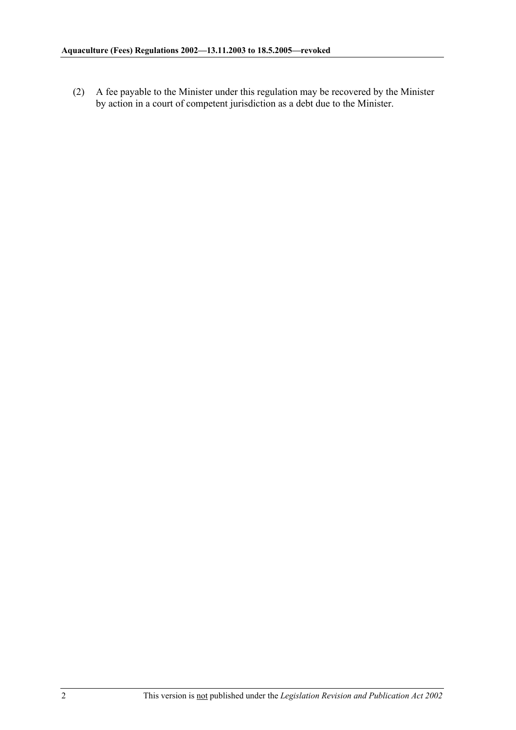(2) A fee payable to the Minister under this regulation may be recovered by the Minister by action in a court of competent jurisdiction as a debt due to the Minister.